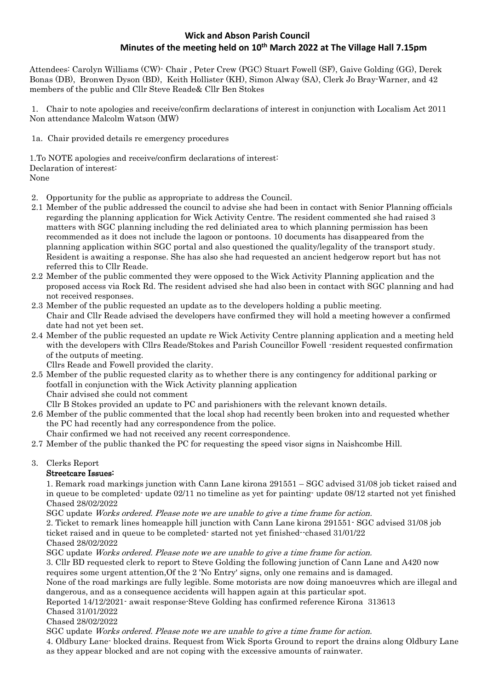# **Wick and Abson Parish Council Minutes of the meeting held on 10 th March 2022 at The Village Hall 7.15pm**

Attendees: Carolyn Williams (CW)- Chair , Peter Crew (PGC) Stuart Fowell (SF), Gaive Golding (GG), Derek Bonas (DB), Bronwen Dyson (BD), Keith Hollister (KH), Simon Alway (SA), Clerk Jo Bray-Warner, and 42 members of the public and Cllr Steve Reade& Cllr Ben Stokes

1. Chair to note apologies and receive/confirm declarations of interest in conjunction with Localism Act 2011 Non attendance Malcolm Watson (MW)

1a. Chair provided details re emergency procedures

1.To NOTE apologies and receive/confirm declarations of interest: Declaration of interest: None

- 2. Opportunity for the public as appropriate to address the Council.
- 2.1 Member of the public addressed the council to advise she had been in contact with Senior Planning officials regarding the planning application for Wick Activity Centre. The resident commented she had raised 3 matters with SGC planning including the red deliniated area to which planning permission has been recommended as it does not include the lagoon or pontoons. 10 documents has disappeared from the planning application within SGC portal and also questioned the quality/legality of the transport study. Resident is awaiting a response. She has also she had requested an ancient hedgerow report but has not referred this to Cllr Reade.
- 2.2 Member of the public commented they were opposed to the Wick Activity Planning application and the proposed access via Rock Rd. The resident advised she had also been in contact with SGC planning and had not received responses.
- 2.3 Member of the public requested an update as to the developers holding a public meeting. Chair and Cllr Reade advised the developers have confirmed they will hold a meeting however a confirmed date had not yet been set.
- 2.4 Member of the public requested an update re Wick Activity Centre planning application and a meeting held with the developers with Cllrs Reade/Stokes and Parish Councillor Fowell -resident requested confirmation of the outputs of meeting.
	- Cllrs Reade and Fowell provided the clarity.
- 2.5 Member of the public requested clarity as to whether there is any contingency for additional parking or footfall in conjunction with the Wick Activity planning application Chair advised she could not comment
- Cllr B Stokes provided an update to PC and parishioners with the relevant known details.
- 2.6 Member of the public commented that the local shop had recently been broken into and requested whether the PC had recently had any correspondence from the police.

Chair confirmed we had not received any recent correspondence.

2.7 Member of the public thanked the PC for requesting the speed visor signs in Naishcombe Hill.

# 3. Clerks Report

# Streetcare Issues:

1. Remark road markings junction with Cann Lane kirona 291551 – SGC advised 31/08 job ticket raised and in queue to be completed- update 02/11 no timeline as yet for painting- update 08/12 started not yet finished Chased 28/02/2022

SGC update Works ordered. Please note we are unable to give a time frame for action.

2. Ticket to remark lines homeapple hill junction with Cann Lane kirona 291551- SGC advised 31/08 job ticket raised and in queue to be completed- started not yet finished--chased 31/01/22 Chased 28/02/2022

SGC update Works ordered. Please note we are unable to give a time frame for action.

3. Cllr BD requested clerk to report to Steve Golding the following junction of Cann Lane and A420 now requires some urgent attention,Of the 2 'No Entry' signs, only one remains and is damaged.

None of the road markings are fully legible. Some motorists are now doing manoeuvres which are illegal and dangerous, and as a consequence accidents will happen again at this particular spot.

Reported 14/12/2021- await response-Steve Golding has confirmed reference Kirona 313613

Chased 31/01/2022

### Chased 28/02/2022

SGC update Works ordered. Please note we are unable to give a time frame for action.

4. Oldbury Lane- blocked drains. Request from Wick Sports Ground to report the drains along Oldbury Lane as they appear blocked and are not coping with the excessive amounts of rainwater.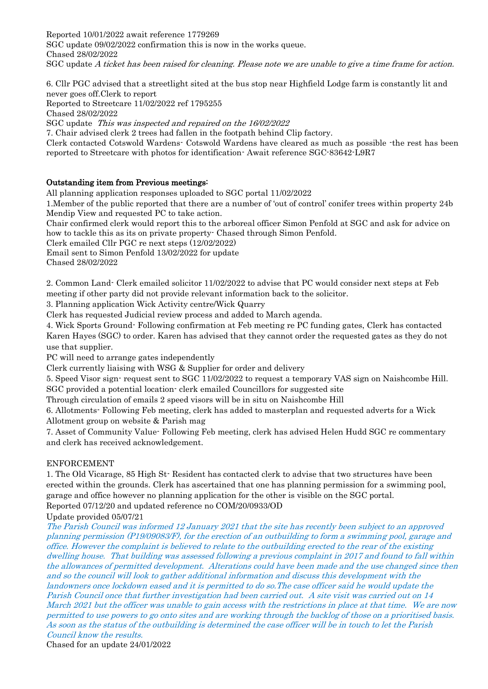Reported 10/01/2022 await reference 1779269 SGC update 09/02/2022 confirmation this is now in the works queue. Chased 28/02/2022 SGC update A ticket has been raised for cleaning. Please note we are unable to give a time frame for action.

6. Cllr PGC advised that a streetlight sited at the bus stop near Highfield Lodge farm is constantly lit and never goes off.Clerk to report

Reported to Streetcare 11/02/2022 ref 1795255 Chased 28/02/2022

SGC update This was inspected and repaired on the 16/02/2022

7. Chair advised clerk 2 trees had fallen in the footpath behind Clip factory.

Clerk contacted Cotswold Wardens- Cotswold Wardens have cleared as much as possible -the rest has been reported to Streetcare with photos for identification- Await reference SGC-83642-L9R7

# Outstanding item from Previous meetings:

All planning application responses uploaded to SGC portal 11/02/2022

1.Member of the public reported that there are a number of 'out of control' conifer trees within property 24b Mendip View and requested PC to take action.

Chair confirmed clerk would report this to the arboreal officer Simon Penfold at SGC and ask for advice on how to tackle this as its on private property- Chased through Simon Penfold.

Clerk emailed Cllr PGC re next steps (12/02/2022)

Email sent to Simon Penfold 13/02/2022 for update

Chased 28/02/2022

2. Common Land- Clerk emailed solicitor 11/02/2022 to advise that PC would consider next steps at Feb meeting if other party did not provide relevant information back to the solicitor.

3. Planning application Wick Activity centre/Wick Quarry

Clerk has requested Judicial review process and added to March agenda.

4. Wick Sports Ground- Following confirmation at Feb meeting re PC funding gates, Clerk has contacted Karen Hayes (SGC) to order. Karen has advised that they cannot order the requested gates as they do not use that supplier.

PC will need to arrange gates independently

Clerk currently liaising with WSG & Supplier for order and delivery

5. Speed Visor sign- request sent to SGC 11/02/2022 to request a temporary VAS sign on Naishcombe Hill. SGC provided a potential location- clerk emailed Councillors for suggested site

Through circulation of emails 2 speed visors will be in situ on Naishcombe Hill

6. Allotments- Following Feb meeting, clerk has added to masterplan and requested adverts for a Wick Allotment group on website & Parish mag

7. Asset of Community Value- Following Feb meeting, clerk has advised Helen Hudd SGC re commentary and clerk has received acknowledgement.

#### ENFORCEMENT

1. The Old Vicarage, 85 High St- Resident has contacted clerk to advise that two structures have been erected within the grounds. Clerk has ascertained that one has planning permission for a swimming pool, garage and office however no planning application for the other is visible on the SGC portal. Reported 07/12/20 and updated reference no COM/20/0933/OD

Update provided 05/07/21

The Parish Council was informed 12 January 2021 that the site has recently been subject to an approved planning permission (P19/09083/F), for the erection of an outbuilding to form a swimming pool, garage and office. However the complaint is believed to relate to the outbuilding erected to the rear of the existing dwelling house. That building was assessed following a previous complaint in 2017 and found to fall within the allowances of permitted development. Alterations could have been made and the use changed since then and so the council will look to gather additional information and discuss this development with the landowners once lockdown eased and it is permitted to do so.The case officer said he would update the Parish Council once that further investigation had been carried out. A site visit was carried out on 14 March 2021 but the officer was unable to gain access with the restrictions in place at that time. We are now permitted to use powers to go onto sites and are working through the backlog of those on a prioritised basis. As soon as the status of the outbuilding is determined the case officer will be in touch to let the Parish Council know the results.

Chased for an update 24/01/2022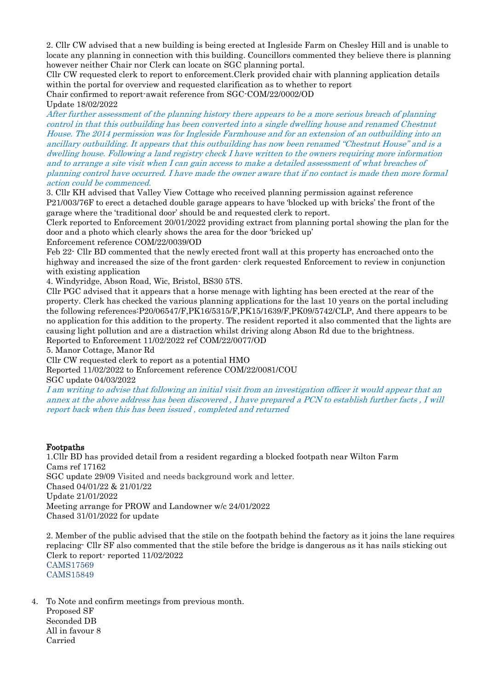2. Cllr CW advised that a new building is being erected at Ingleside Farm on Chesley Hill and is unable to locate any planning in connection with this building. Councillors commented they believe there is planning however neither Chair nor Clerk can locate on SGC planning portal.

Cllr CW requested clerk to report to enforcement.Clerk provided chair with planning application details within the portal for overview and requested clarification as to whether to report Chair confirmed to report-await reference from SGC-COM/22/0002/OD

Update 18/02/2022

After further assessment of the planning history there appears to be a more serious breach of planning control in that this outbuilding has been converted into a single dwelling house and renamed Chestnut House. The 2014 permission was for Ingleside Farmhouse and for an extension of an outbuilding into an ancillary outbuilding. It appears that this outbuilding has now been renamed "Chestnut House" and is a dwelling house. Following a land registry check I have written to the owners requiring more information and to arrange a site visit when I can gain access to make a detailed assessment of what breaches of planning control have occurred. I have made the owner aware that if no contact is made then more formal action could be commenced.

3. Cllr KH advised that Valley View Cottage who received planning permission against reference P21/003/76F to erect a detached double garage appears to have 'blocked up with bricks' the front of the garage where the 'traditional door' should be and requested clerk to report.

Clerk reported to Enforcement 20/01/2022 providing extract from planning portal showing the plan for the door and a photo which clearly shows the area for the door 'bricked up'

Enforcement reference COM/22/0039/OD

Feb 22- Cllr BD commented that the newly erected front wall at this property has encroached onto the highway and increased the size of the front garden- clerk requested Enforcement to review in conjunction with existing application

4. Windyridge, Abson Road, Wic, Bristol, BS30 5TS.

Cllr PGC advised that it appears that a horse menage with lighting has been erected at the rear of the property. Clerk has checked the various planning applications for the last 10 years on the portal including the following references:P20/06547/F,PK16/5315/F,PK15/1639/F,PK09/5742/CLP, And there appears to be no application for this addition to the property. The resident reported it also commented that the lights are causing light pollution and are a distraction whilst driving along Abson Rd due to the brightness. Reported to Enforcement 11/02/2022 ref COM/22/0077/OD

5. Manor Cottage, Manor Rd

Cllr CW requested clerk to report as a potential HMO

Reported 11/02/2022 to Enforcement reference COM/22/0081/COU

SGC update 04/03/2022

I am writing to advise that following an initial visit from an investigation officer it would appear that an annex at the above address has been discovered , I have prepared a PCN to establish further facts , I will report back when this has been issued , completed and returned

# Footpaths

1.Cllr BD has provided detail from a resident regarding a blocked footpath near Wilton Farm Cams ref 17162 SGC update 29/09 Visited and needs background work and letter. Chased 04/01/22 & 21/01/22 Update 21/01/2022 Meeting arrange for PROW and Landowner w/c 24/01/2022 Chased 31/01/2022 for update

2. Member of the public advised that the stile on the footpath behind the factory as it joins the lane requires replacing- Cllr SF also commented that the stile before the bridge is dangerous as it has nails sticking out Clerk to report- reported 11/02/2022 CAMS17569 CAMS15849

4. To Note and confirm meetings from previous month. Proposed SF Seconded DB All in favour 8 Carried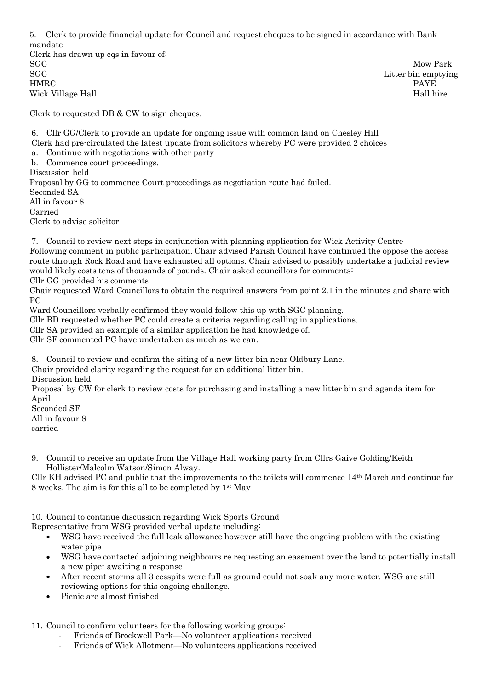5. Clerk to provide financial update for Council and request cheques to be signed in accordance with Bank mandate Clerk has drawn up cqs in favour of: SGC Mow Park SGC Litter bin emptying HMRC PAYE Wick Village Hall hire was a state of the state of the state of the Hall hire was a state of the Hall hire of the Hall hire of the Hall hire of the Hall hire of the Hall hire of the Hall hire of the Hall hire of the Hall h

Clerk to requested DB & CW to sign cheques.

6. Cllr GG/Clerk to provide an update for ongoing issue with common land on Chesley Hill Clerk had pre-circulated the latest update from solicitors whereby PC were provided 2 choices a. Continue with negotiations with other party b. Commence court proceedings. Discussion held Proposal by GG to commence Court proceedings as negotiation route had failed. Seconded SA All in favour 8 Carried Clerk to advise solicitor

7. Council to review next steps in conjunction with planning application for Wick Activity Centre Following comment in public participation. Chair advised Parish Council have continued the oppose the access route through Rock Road and have exhausted all options. Chair advised to possibly undertake a judicial review would likely costs tens of thousands of pounds. Chair asked councillors for comments:

Cllr GG provided his comments

Chair requested Ward Councillors to obtain the required answers from point 2.1 in the minutes and share with PC

Ward Councillors verbally confirmed they would follow this up with SGC planning.

Cllr BD requested whether PC could create a criteria regarding calling in applications.

Cllr SA provided an example of a similar application he had knowledge of.

Cllr SF commented PC have undertaken as much as we can.

8. Council to review and confirm the siting of a new litter bin near Oldbury Lane.

Chair provided clarity regarding the request for an additional litter bin.

Discussion held

Proposal by CW for clerk to review costs for purchasing and installing a new litter bin and agenda item for April.

Seconded SF All in favour 8

carried

9. Council to receive an update from the Village Hall working party from Cllrs Gaive Golding/Keith Hollister/Malcolm Watson/Simon Alway.

Cllr KH advised PC and public that the improvements to the toilets will commence 14th March and continue for 8 weeks. The aim is for this all to be completed by 1st May

10. Council to continue discussion regarding Wick Sports Ground

Representative from WSG provided verbal update including:

- WSG have received the full leak allowance however still have the ongoing problem with the existing water pipe
- WSG have contacted adjoining neighbours re requesting an easement over the land to potentially install a new pipe- awaiting a response
- After recent storms all 3 cesspits were full as ground could not soak any more water. WSG are still reviewing options for this ongoing challenge.
- Picnic are almost finished

11. Council to confirm volunteers for the following working groups:

- Friends of Brockwell Park—No volunteer applications received
- Friends of Wick Allotment—No volunteers applications received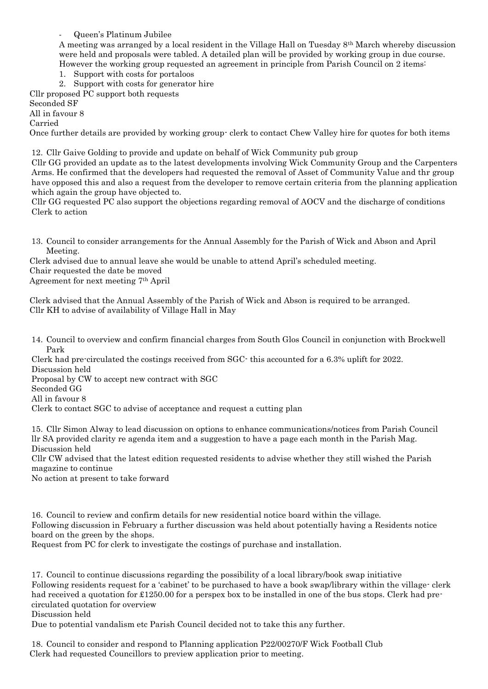- Queen's Platinum Jubilee

A meeting was arranged by a local resident in the Village Hall on Tuesday 8th March whereby discussion were held and proposals were tabled. A detailed plan will be provided by working group in due course. However the working group requested an agreement in principle from Parish Council on 2 items:

- 1. Support with costs for portaloos
- 2. Support with costs for generator hire

Cllr proposed PC support both requests

Seconded SF

All in favour 8

Carried

Once further details are provided by working group- clerk to contact Chew Valley hire for quotes for both items

12. Cllr Gaive Golding to provide and update on behalf of Wick Community pub group

Cllr GG provided an update as to the latest developments involving Wick Community Group and the Carpenters Arms. He confirmed that the developers had requested the removal of Asset of Community Value and thr group have opposed this and also a request from the developer to remove certain criteria from the planning application which again the group have objected to.

Cllr GG requested PC also support the objections regarding removal of AOCV and the discharge of conditions Clerk to action

13. Council to consider arrangements for the Annual Assembly for the Parish of Wick and Abson and April Meeting.

Clerk advised due to annual leave she would be unable to attend April's scheduled meeting.

Chair requested the date be moved

Agreement for next meeting 7th April

Clerk advised that the Annual Assembly of the Parish of Wick and Abson is required to be arranged. Cllr KH to advise of availability of Village Hall in May

14. Council to overview and confirm financial charges from South Glos Council in conjunction with Brockwell Park

Clerk had pre-circulated the costings received from SGC- this accounted for a 6.3% uplift for 2022. Discussion held

Proposal by CW to accept new contract with SGC

Seconded GG

All in favour 8

Clerk to contact SGC to advise of acceptance and request a cutting plan

15. Cllr Simon Alway to lead discussion on options to enhance communications/notices from Parish Council llr SA provided clarity re agenda item and a suggestion to have a page each month in the Parish Mag. Discussion held

Cllr CW advised that the latest edition requested residents to advise whether they still wished the Parish magazine to continue

No action at present to take forward

16. Council to review and confirm details for new residential notice board within the village. Following discussion in February a further discussion was held about potentially having a Residents notice board on the green by the shops.

Request from PC for clerk to investigate the costings of purchase and installation.

17. Council to continue discussions regarding the possibility of a local library/book swap initiative Following residents request for a 'cabinet' to be purchased to have a book swap/library within the village- clerk had received a quotation for £1250.00 for a perspex box to be installed in one of the bus stops. Clerk had precirculated quotation for overview

Discussion held

Due to potential vandalism etc Parish Council decided not to take this any further.

18. Council to consider and respond to Planning application P22/00270/F Wick Football Club Clerk had requested Councillors to preview application prior to meeting.